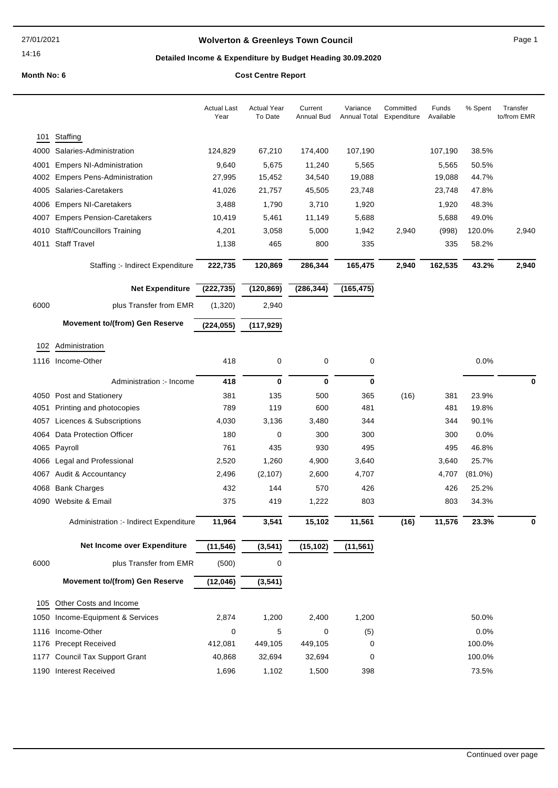## **Wolverton & Greenleys Town Council Page 1** Page 1

## **Detailed Income & Expenditure by Budget Heading 30.09.2020**

|      |                                        | <b>Actual Last</b><br>Year | <b>Actual Year</b><br>To Date | Current<br><b>Annual Bud</b> | Variance<br><b>Annual Total</b> | Committed<br>Expenditure | Funds<br>Available | % Spent    | Transfer<br>to/from EMR |
|------|----------------------------------------|----------------------------|-------------------------------|------------------------------|---------------------------------|--------------------------|--------------------|------------|-------------------------|
| 101  | Staffing                               |                            |                               |                              |                                 |                          |                    |            |                         |
| 4000 | Salaries-Administration                | 124,829                    | 67,210                        | 174,400                      | 107,190                         |                          | 107,190            | 38.5%      |                         |
| 4001 | <b>Empers NI-Administration</b>        | 9,640                      | 5,675                         | 11,240                       | 5,565                           |                          | 5,565              | 50.5%      |                         |
| 4002 | <b>Empers Pens-Administration</b>      | 27,995                     | 15,452                        | 34,540                       | 19,088                          |                          | 19,088             | 44.7%      |                         |
| 4005 | Salaries-Caretakers                    | 41,026                     | 21,757                        | 45,505                       | 23,748                          |                          | 23,748             | 47.8%      |                         |
| 4006 | <b>Empers NI-Caretakers</b>            | 3,488                      | 1,790                         | 3,710                        | 1,920                           |                          | 1,920              | 48.3%      |                         |
| 4007 | <b>Empers Pension-Caretakers</b>       | 10,419                     | 5,461                         | 11,149                       | 5,688                           |                          | 5,688              | 49.0%      |                         |
| 4010 | <b>Staff/Councillors Training</b>      | 4,201                      | 3,058                         | 5,000                        | 1,942                           | 2,940                    | (998)              | 120.0%     | 2,940                   |
|      | 4011 Staff Travel                      | 1,138                      | 465                           | 800                          | 335                             |                          | 335                | 58.2%      |                         |
|      | Staffing :- Indirect Expenditure       | 222,735                    | 120,869                       | 286,344                      | 165,475                         | 2,940                    | 162,535            | 43.2%      | 2,940                   |
|      | <b>Net Expenditure</b>                 | (222, 735)                 | (120, 869)                    | (286, 344)                   | (165, 475)                      |                          |                    |            |                         |
| 6000 | plus Transfer from EMR                 | (1,320)                    | 2,940                         |                              |                                 |                          |                    |            |                         |
|      | <b>Movement to/(from) Gen Reserve</b>  | (224, 055)                 | (117, 929)                    |                              |                                 |                          |                    |            |                         |
|      | 102 Administration                     |                            |                               |                              |                                 |                          |                    |            |                         |
|      | 1116 Income-Other                      | 418                        | 0                             | 0                            | 0                               |                          |                    | 0.0%       |                         |
|      |                                        |                            |                               |                              |                                 |                          |                    |            |                         |
|      | Administration :- Income               | 418                        | 0                             | 0                            | 0                               |                          |                    |            | 0                       |
|      | 4050 Post and Stationery               | 381                        | 135                           | 500                          | 365                             | (16)                     | 381                | 23.9%      |                         |
| 4051 | Printing and photocopies               | 789                        | 119                           | 600                          | 481                             |                          | 481                | 19.8%      |                         |
| 4057 | Licences & Subscriptions               | 4,030                      | 3,136                         | 3,480                        | 344                             |                          | 344                | 90.1%      |                         |
| 4064 | Data Protection Officer                | 180                        | 0                             | 300                          | 300                             |                          | 300                | 0.0%       |                         |
| 4065 | Payroll                                | 761                        | 435                           | 930                          | 495                             |                          | 495                | 46.8%      |                         |
| 4066 | Legal and Professional                 | 2,520                      | 1,260                         | 4,900                        | 3,640                           |                          | 3,640              | 25.7%      |                         |
|      | 4067 Audit & Accountancy               | 2,496                      | (2, 107)                      | 2,600                        | 4,707                           |                          | 4,707              | $(81.0\%)$ |                         |
| 4068 | <b>Bank Charges</b>                    | 432                        | 144                           | 570                          | 426                             |                          | 426                | 25.2%      |                         |
| 4090 | Website & Email                        | 375                        | 419                           | 1,222                        | 803                             |                          | 803                | 34.3%      |                         |
|      | Administration :- Indirect Expenditure | 11,964                     | 3,541                         | 15,102                       | 11,561                          | (16)                     | 11,576             | 23.3%      |                         |
|      | Net Income over Expenditure            | (11, 546)                  | (3, 541)                      | (15, 102)                    | (11, 561)                       |                          |                    |            |                         |
| 6000 | plus Transfer from EMR                 | (500)                      | $\mathbf 0$                   |                              |                                 |                          |                    |            |                         |
|      | <b>Movement to/(from) Gen Reserve</b>  | (12,046)                   | (3, 541)                      |                              |                                 |                          |                    |            |                         |
| 105  | Other Costs and Income                 |                            |                               |                              |                                 |                          |                    |            |                         |
|      | 1050 Income-Equipment & Services       | 2,874                      | 1,200                         | 2,400                        | 1,200                           |                          |                    | 50.0%      |                         |
|      | 1116 Income-Other                      | 0                          | 5                             | 0                            | (5)                             |                          |                    | 0.0%       |                         |
|      | 1176 Precept Received                  | 412,081                    | 449,105                       | 449,105                      | 0                               |                          |                    | 100.0%     |                         |
|      | 1177 Council Tax Support Grant         | 40,868                     | 32,694                        | 32,694                       | 0                               |                          |                    | 100.0%     |                         |
|      | 1190 Interest Received                 | 1,696                      | 1,102                         | 1,500                        | 398                             |                          |                    | 73.5%      |                         |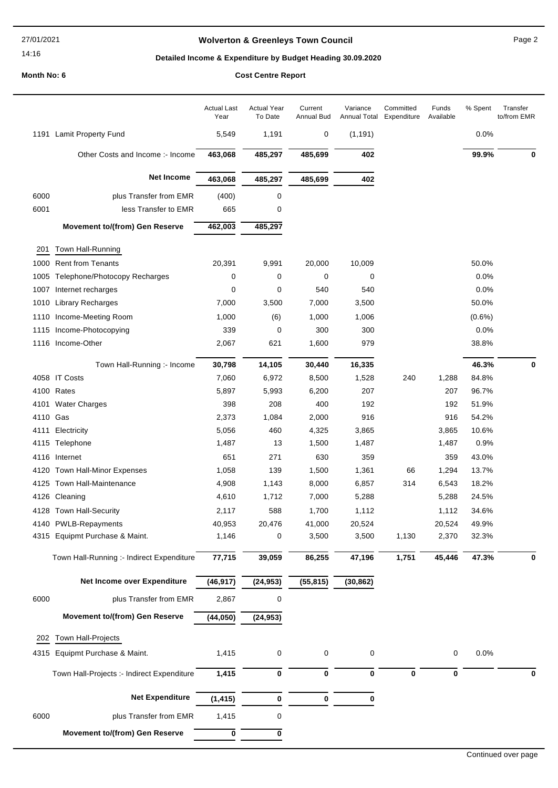### 27/01/2021

## 14:16

## **Wolverton & Greenleys Town Council** Magness Council Page 2

## **Detailed Income & Expenditure by Budget Heading 30.09.2020**

|          |                                            | <b>Actual Last</b><br>Year | <b>Actual Year</b><br>To Date | Current<br>Annual Bud | Variance  | Committed<br>Annual Total Expenditure | Funds<br>Available | % Spent   | Transfer<br>to/from EMR |
|----------|--------------------------------------------|----------------------------|-------------------------------|-----------------------|-----------|---------------------------------------|--------------------|-----------|-------------------------|
|          | 1191 Lamit Property Fund                   | 5,549                      | 1,191                         | 0                     | (1, 191)  |                                       |                    | 0.0%      |                         |
|          | Other Costs and Income :- Income           | 463,068                    | 485,297                       | 485,699               | 402       |                                       |                    | 99.9%     | 0                       |
|          | <b>Net Income</b>                          | 463,068                    | 485,297                       | 485,699               | 402       |                                       |                    |           |                         |
| 6000     | plus Transfer from EMR                     | (400)                      | 0                             |                       |           |                                       |                    |           |                         |
| 6001     | less Transfer to EMR                       | 665                        | 0                             |                       |           |                                       |                    |           |                         |
|          | <b>Movement to/(from) Gen Reserve</b>      | 462,003                    | 485,297                       |                       |           |                                       |                    |           |                         |
| 201      | Town Hall-Running                          |                            |                               |                       |           |                                       |                    |           |                         |
| 1000     | <b>Rent from Tenants</b>                   | 20,391                     | 9,991                         | 20,000                | 10,009    |                                       |                    | 50.0%     |                         |
| 1005     | Telephone/Photocopy Recharges              | 0                          | 0                             | 0                     | 0         |                                       |                    | 0.0%      |                         |
| 1007     | Internet recharges                         | 0                          | 0                             | 540                   | 540       |                                       |                    | 0.0%      |                         |
| 1010     | <b>Library Recharges</b>                   | 7,000                      | 3,500                         | 7,000                 | 3,500     |                                       |                    | 50.0%     |                         |
| 1110     | Income-Meeting Room                        | 1,000                      | (6)                           | 1,000                 | 1,006     |                                       |                    | $(0.6\%)$ |                         |
|          | 1115 Income-Photocopying                   | 339                        | 0                             | 300                   | 300       |                                       |                    | 0.0%      |                         |
|          | 1116 Income-Other                          | 2,067                      | 621                           | 1,600                 | 979       |                                       |                    | 38.8%     |                         |
|          | Town Hall-Running :- Income                | 30,798                     | 14,105                        | 30,440                | 16,335    |                                       |                    | 46.3%     | 0                       |
|          | 4058 IT Costs                              | 7,060                      | 6,972                         | 8,500                 | 1,528     | 240                                   | 1,288              | 84.8%     |                         |
|          | 4100 Rates                                 | 5,897                      | 5,993                         | 6,200                 | 207       |                                       | 207                | 96.7%     |                         |
|          | 4101 Water Charges                         | 398                        | 208                           | 400                   | 192       |                                       | 192                | 51.9%     |                         |
| 4110 Gas |                                            | 2,373                      | 1,084                         | 2,000                 | 916       |                                       | 916                | 54.2%     |                         |
| 4111     | Electricity                                | 5,056                      | 460                           | 4,325                 | 3,865     |                                       | 3,865              | 10.6%     |                         |
|          | 4115 Telephone                             | 1,487                      | 13                            | 1,500                 | 1,487     |                                       | 1,487              | 0.9%      |                         |
| 4116     | Internet                                   | 651                        | 271                           | 630                   | 359       |                                       | 359                | 43.0%     |                         |
|          | 4120 Town Hall-Minor Expenses              | 1,058                      | 139                           | 1,500                 | 1,361     | 66                                    | 1,294              | 13.7%     |                         |
|          | 4125 Town Hall-Maintenance                 | 4,908                      | 1,143                         | 8,000                 | 6,857     | 314                                   | 6,543              | 18.2%     |                         |
|          | 4126 Cleaning                              | 4,610                      | 1,712                         | 7,000                 | 5,288     |                                       | 5,288              | 24.5%     |                         |
|          | 4128 Town Hall-Security                    | 2,117                      | 588                           | 1,700                 | 1,112     |                                       | 1,112              | 34.6%     |                         |
|          | 4140 PWLB-Repayments                       | 40,953                     | 20,476                        | 41,000                | 20,524    |                                       | 20,524             | 49.9%     |                         |
| 4315     | Equipmt Purchase & Maint.                  | 1,146                      | 0                             | 3,500                 | 3,500     | 1,130                                 | 2,370              | 32.3%     |                         |
|          | Town Hall-Running :- Indirect Expenditure  | 77,715                     | 39,059                        | 86,255                | 47,196    | 1,751                                 | 45,446             | 47.3%     | 0                       |
|          | Net Income over Expenditure                | (46, 917)                  | (24, 953)                     | (55, 815)             | (30, 862) |                                       |                    |           |                         |
| 6000     | plus Transfer from EMR                     | 2,867                      | 0                             |                       |           |                                       |                    |           |                         |
|          | <b>Movement to/(from) Gen Reserve</b>      | (44, 050)                  | (24, 953)                     |                       |           |                                       |                    |           |                         |
| 202      | Town Hall-Projects                         |                            |                               |                       |           |                                       |                    |           |                         |
|          |                                            |                            |                               |                       |           |                                       |                    |           |                         |
| 4315     | Equipmt Purchase & Maint.                  | 1,415                      | 0                             | 0                     | 0         |                                       | 0                  | 0.0%      |                         |
|          | Town Hall-Projects :- Indirect Expenditure | 1,415                      | 0                             | 0                     | 0         | $\bf{0}$                              | 0                  |           | 0                       |
|          | <b>Net Expenditure</b>                     | (1, 415)                   | 0                             | 0                     | 0         |                                       |                    |           |                         |
| 6000     | plus Transfer from EMR                     | 1,415                      | 0                             |                       |           |                                       |                    |           |                         |
|          | <b>Movement to/(from) Gen Reserve</b>      | 0                          | 0                             |                       |           |                                       |                    |           |                         |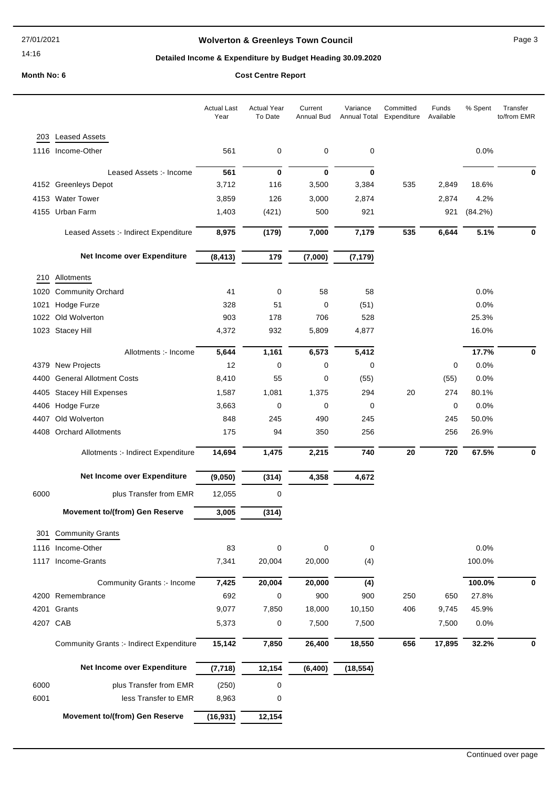# **Wolverton & Greenleys Town Council** Magness Council Page 3

## **Detailed Income & Expenditure by Budget Heading 30.09.2020**

|      |                                                 | <b>Actual Last</b><br>Year | <b>Actual Year</b><br>To Date | Current<br>Annual Bud | Variance<br><b>Annual Total</b> | Committed<br>Expenditure | Funds<br>Available | % Spent | Transfer<br>to/from EMR |
|------|-------------------------------------------------|----------------------------|-------------------------------|-----------------------|---------------------------------|--------------------------|--------------------|---------|-------------------------|
| 203  | <b>Leased Assets</b>                            |                            |                               |                       |                                 |                          |                    |         |                         |
|      | 1116 Income-Other                               | 561                        | 0                             | $\mathbf 0$           | 0                               |                          |                    | 0.0%    |                         |
|      |                                                 |                            |                               |                       |                                 |                          |                    |         |                         |
|      | Leased Assets :- Income<br>4152 Greenleys Depot | 561<br>3,712               | 0<br>116                      | $\bf{0}$<br>3,500     | $\bf{0}$<br>3,384               | 535                      | 2,849              | 18.6%   | 0                       |
|      | 4153 Water Tower                                | 3,859                      | 126                           | 3,000                 | 2,874                           |                          | 2,874              | 4.2%    |                         |
|      | 4155 Urban Farm                                 | 1,403                      | (421)                         | 500                   | 921                             |                          | 921                | (84.2%) |                         |
|      |                                                 |                            |                               |                       |                                 |                          |                    |         |                         |
|      | Leased Assets :- Indirect Expenditure           | 8,975                      | (179)                         | 7,000                 | 7,179                           | 535                      | 6,644              | 5.1%    | 0                       |
|      | Net Income over Expenditure                     | (8, 413)                   | 179                           | (7,000)               | (7, 179)                        |                          |                    |         |                         |
|      | 210 Allotments                                  |                            |                               |                       |                                 |                          |                    |         |                         |
|      | 1020 Community Orchard                          | 41                         | 0                             | 58                    | 58                              |                          |                    | 0.0%    |                         |
| 1021 | Hodge Furze                                     | 328                        | 51                            | 0                     | (51)                            |                          |                    | 0.0%    |                         |
|      | 1022 Old Wolverton                              | 903                        | 178                           | 706                   | 528                             |                          |                    | 25.3%   |                         |
|      | 1023 Stacey Hill                                | 4,372                      | 932                           | 5,809                 | 4,877                           |                          |                    | 16.0%   |                         |
|      | Allotments :- Income                            | 5,644                      | 1,161                         | 6,573                 | 5,412                           |                          |                    | 17.7%   | 0                       |
|      | 4379 New Projects                               | 12                         | 0                             | 0                     | $\mathbf 0$                     |                          | 0                  | 0.0%    |                         |
| 4400 | <b>General Allotment Costs</b>                  | 8,410                      | 55                            | 0                     | (55)                            |                          | (55)               | 0.0%    |                         |
|      | 4405 Stacey Hill Expenses                       | 1,587                      | 1,081                         | 1,375                 | 294                             | 20                       | 274                | 80.1%   |                         |
|      | 4406 Hodge Furze                                | 3,663                      | 0                             | 0                     | 0                               |                          | 0                  | 0.0%    |                         |
|      | 4407 Old Wolverton                              | 848                        | 245                           | 490                   | 245                             |                          | 245                | 50.0%   |                         |
|      | 4408 Orchard Allotments                         | 175                        | 94                            | 350                   | 256                             |                          | 256                | 26.9%   |                         |
|      | Allotments :- Indirect Expenditure              | 14,694                     | 1,475                         | 2,215                 | 740                             | 20                       | 720                | 67.5%   | 0                       |
|      | Net Income over Expenditure                     | (9,050)                    | (314)                         | 4,358                 | 4,672                           |                          |                    |         |                         |
| 6000 | plus Transfer from EMR                          | 12,055                     | 0                             |                       |                                 |                          |                    |         |                         |
|      | <b>Movement to/(from) Gen Reserve</b>           | 3,005                      | (314)                         |                       |                                 |                          |                    |         |                         |
|      | 301 Community Grants                            |                            |                               |                       |                                 |                          |                    |         |                         |
|      | 1116 Income-Other                               | 83                         | 0                             | 0                     | 0                               |                          |                    | 0.0%    |                         |
|      | 1117 Income-Grants                              | 7,341                      | 20,004                        | 20,000                | (4)                             |                          |                    | 100.0%  |                         |
|      |                                                 |                            |                               |                       |                                 |                          |                    |         |                         |
|      | Community Grants :- Income                      | 7,425                      | 20,004                        | 20,000                | (4)                             |                          |                    | 100.0%  | 0                       |
|      | 4200 Remembrance                                | 692                        | 0                             | 900                   | 900                             | 250                      | 650                | 27.8%   |                         |
|      | 4201 Grants                                     | 9,077                      | 7,850                         | 18,000                | 10,150                          | 406                      | 9,745              | 45.9%   |                         |
|      | 4207 CAB                                        | 5,373                      | 0                             | 7,500                 | 7,500                           |                          | 7,500              | 0.0%    |                         |
|      | <b>Community Grants :- Indirect Expenditure</b> | 15,142                     | 7,850                         | 26,400                | 18,550                          | 656                      | 17,895             | 32.2%   | 0                       |
|      | Net Income over Expenditure                     | (7, 718)                   | 12,154                        | (6, 400)              | (18, 554)                       |                          |                    |         |                         |
| 6000 | plus Transfer from EMR                          | (250)                      | 0                             |                       |                                 |                          |                    |         |                         |
| 6001 | less Transfer to EMR                            | 8,963                      | 0                             |                       |                                 |                          |                    |         |                         |
|      | <b>Movement to/(from) Gen Reserve</b>           | (16, 931)                  | 12,154                        |                       |                                 |                          |                    |         |                         |
|      |                                                 |                            |                               |                       |                                 |                          |                    |         |                         |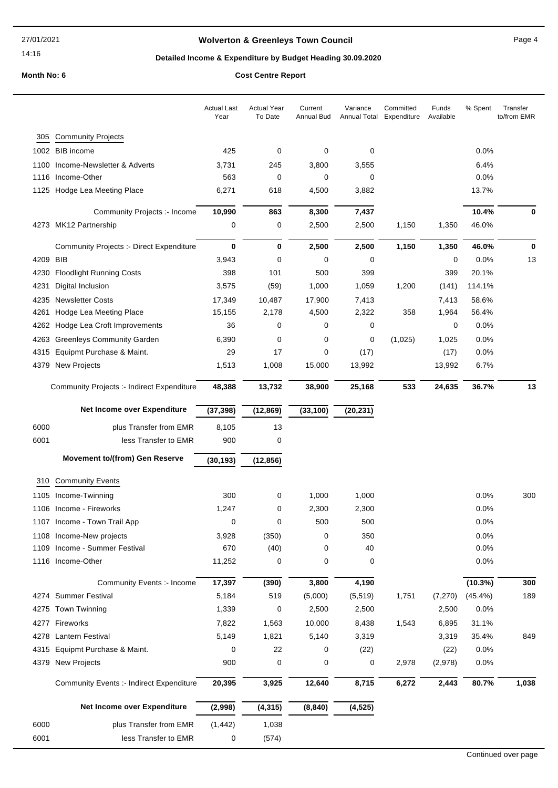# **Wolverton & Greenleys Town Council** Magnetic Page 4

## **Detailed Income & Expenditure by Budget Heading 30.09.2020**

**Month No: 6 C** 

| Cost Centre Report |  |
|--------------------|--|
|--------------------|--|

|      |                                                 | <b>Actual Last</b><br>Year | <b>Actual Year</b><br>To Date | Current<br>Annual Bud | Variance<br>Annual Total | Committed<br>Expenditure | Funds<br>Available | % Spent    | Transfer<br>to/from EMR |
|------|-------------------------------------------------|----------------------------|-------------------------------|-----------------------|--------------------------|--------------------------|--------------------|------------|-------------------------|
| 305  | <b>Community Projects</b>                       |                            |                               |                       |                          |                          |                    |            |                         |
|      | 1002 BIB income                                 | 425                        | 0                             | 0                     | 0                        |                          |                    | 0.0%       |                         |
| 1100 | Income-Newsletter & Adverts                     | 3,731                      | 245                           | 3,800                 | 3,555                    |                          |                    | 6.4%       |                         |
| 1116 | Income-Other                                    | 563                        | 0                             | 0                     | 0                        |                          |                    | 0.0%       |                         |
|      | 1125 Hodge Lea Meeting Place                    | 6,271                      | 618                           | 4,500                 | 3,882                    |                          |                    | 13.7%      |                         |
|      | Community Projects :- Income                    | 10,990                     | 863                           | 8,300                 | 7,437                    |                          |                    | 10.4%      | 0                       |
|      | 4273 MK12 Partnership                           | 0                          | 0                             | 2,500                 | 2,500                    | 1,150                    | 1,350              | 46.0%      |                         |
|      | <b>Community Projects :- Direct Expenditure</b> | 0                          | 0                             | 2,500                 | 2,500                    | 1,150                    | 1,350              | 46.0%      | $\bf{0}$                |
| 4209 | <b>BIB</b>                                      | 3,943                      | 0                             | 0                     | 0                        |                          | 0                  | 0.0%       | 13                      |
| 4230 | <b>Floodlight Running Costs</b>                 | 398                        | 101                           | 500                   | 399                      |                          | 399                | 20.1%      |                         |
| 4231 | Digital Inclusion                               | 3,575                      | (59)                          | 1,000                 | 1,059                    | 1,200                    | (141)              | 114.1%     |                         |
| 4235 | <b>Newsletter Costs</b>                         | 17,349                     | 10,487                        | 17,900                | 7,413                    |                          | 7,413              | 58.6%      |                         |
| 4261 | Hodge Lea Meeting Place                         | 15,155                     | 2,178                         | 4,500                 | 2,322                    | 358                      | 1,964              | 56.4%      |                         |
| 4262 | Hodge Lea Croft Improvements                    | 36                         | 0                             | 0                     | 0                        |                          | 0                  | 0.0%       |                         |
| 4263 | <b>Greenleys Community Garden</b>               | 6,390                      | 0                             | 0                     | 0                        | (1,025)                  | 1,025              | 0.0%       |                         |
| 4315 | Equipmt Purchase & Maint.                       | 29                         | 17                            | 0                     | (17)                     |                          | (17)               | 0.0%       |                         |
| 4379 | New Projects                                    | 1,513                      | 1,008                         | 15,000                | 13,992                   |                          | 13,992             | 6.7%       |                         |
|      | Community Projects :- Indirect Expenditure      | 48,388                     | 13,732                        | 38,900                | 25,168                   | 533                      | 24,635             | 36.7%      | 13                      |
|      | Net Income over Expenditure                     | (37, 398)                  | (12, 869)                     | (33, 100)             | (20, 231)                |                          |                    |            |                         |
| 6000 | plus Transfer from EMR                          | 8,105                      | 13                            |                       |                          |                          |                    |            |                         |
| 6001 | less Transfer to EMR                            | 900                        | 0                             |                       |                          |                          |                    |            |                         |
|      | <b>Movement to/(from) Gen Reserve</b>           | (30, 193)                  | (12, 856)                     |                       |                          |                          |                    |            |                         |
| 310  | <b>Community Events</b>                         |                            |                               |                       |                          |                          |                    |            |                         |
| 1105 | Income-Twinning                                 | 300                        | 0                             | 1,000                 | 1,000                    |                          |                    | 0.0%       | 300                     |
|      | 1106 Income - Fireworks                         | 1,247                      | 0                             | 2,300                 | 2,300                    |                          |                    | 0.0%       |                         |
|      | 1107 Income - Town Trail App                    | 0                          | 0                             | 500                   | 500                      |                          |                    | 0.0%       |                         |
|      | 1108 Income-New projects                        | 3,928                      | (350)                         | 0                     | 350                      |                          |                    | 0.0%       |                         |
|      | 1109 Income - Summer Festival                   | 670                        | (40)                          | 0                     | 40                       |                          |                    | 0.0%       |                         |
|      | 1116 Income-Other                               | 11,252                     | 0                             | 0                     | 0                        |                          |                    | 0.0%       |                         |
|      | Community Events :- Income                      | 17,397                     | (390)                         | 3,800                 | 4,190                    |                          |                    | (10.3%)    | 300                     |
|      | 4274 Summer Festival                            | 5,184                      | 519                           | (5,000)               | (5, 519)                 | 1,751                    | (7,270)            | $(45.4\%)$ | 189                     |
|      | 4275 Town Twinning                              | 1,339                      | 0                             | 2,500                 | 2,500                    |                          | 2,500              | 0.0%       |                         |
|      | 4277 Fireworks                                  | 7,822                      | 1,563                         | 10,000                | 8,438                    | 1,543                    | 6,895              | 31.1%      |                         |
| 4278 | <b>Lantern Festival</b>                         | 5,149                      | 1,821                         | 5,140                 | 3,319                    |                          | 3,319              | 35.4%      | 849                     |
|      | 4315 Equipmt Purchase & Maint.                  | 0                          | 22                            | 0                     | (22)                     |                          | (22)               | 0.0%       |                         |
| 4379 | <b>New Projects</b>                             | 900                        | 0                             | 0                     | 0                        | 2,978                    | (2,978)            | 0.0%       |                         |
|      | <b>Community Events :- Indirect Expenditure</b> | 20,395                     | 3,925                         | 12,640                | 8,715                    | 6,272                    | 2,443              | 80.7%      | 1,038                   |
|      | Net Income over Expenditure                     | (2,998)                    | (4, 315)                      | (8, 840)              | (4, 525)                 |                          |                    |            |                         |
| 6000 | plus Transfer from EMR                          | (1, 442)                   | 1,038                         |                       |                          |                          |                    |            |                         |
|      |                                                 |                            |                               |                       |                          |                          |                    |            |                         |
| 6001 | less Transfer to EMR                            | 0                          | (574)                         |                       |                          |                          |                    |            |                         |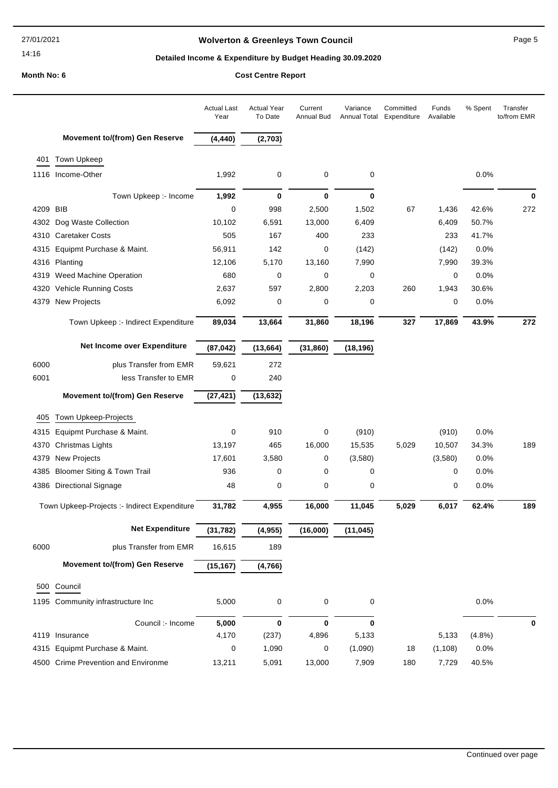## **Wolverton & Greenleys Town Council Page 5** Page 5

## **Detailed Income & Expenditure by Budget Heading 30.09.2020**

|          |                                              | <b>Actual Last</b><br>Year | <b>Actual Year</b><br>To Date | Current<br><b>Annual Bud</b> | Variance<br>Annual Total | Committed<br>Expenditure | Funds<br>Available | % Spent | Transfer<br>to/from EMR |
|----------|----------------------------------------------|----------------------------|-------------------------------|------------------------------|--------------------------|--------------------------|--------------------|---------|-------------------------|
|          | <b>Movement to/(from) Gen Reserve</b>        | (4, 440)                   | (2,703)                       |                              |                          |                          |                    |         |                         |
|          | 401 Town Upkeep                              |                            |                               |                              |                          |                          |                    |         |                         |
|          | 1116 Income-Other                            | 1,992                      | 0                             | 0                            | 0                        |                          |                    | 0.0%    |                         |
|          | Town Upkeep :- Income                        | 1,992                      | 0                             | $\mathbf 0$                  | $\bf{0}$                 |                          |                    |         | 0                       |
| 4209 BIB |                                              | 0                          | 998                           | 2,500                        | 1,502                    | 67                       | 1,436              | 42.6%   | 272                     |
|          | 4302 Dog Waste Collection                    | 10,102                     | 6,591                         | 13,000                       | 6,409                    |                          | 6,409              | 50.7%   |                         |
|          | 4310 Caretaker Costs                         | 505                        | 167                           | 400                          | 233                      |                          | 233                | 41.7%   |                         |
|          | 4315 Equipmt Purchase & Maint.               | 56,911                     | 142                           | 0                            | (142)                    |                          | (142)              | 0.0%    |                         |
|          | 4316 Planting                                | 12,106                     | 5,170                         | 13,160                       | 7,990                    |                          | 7,990              | 39.3%   |                         |
|          | 4319 Weed Machine Operation                  | 680                        | 0                             | 0                            | 0                        |                          | 0                  | 0.0%    |                         |
|          | 4320 Vehicle Running Costs                   | 2,637                      | 597                           | 2,800                        | 2,203                    | 260                      | 1,943              | 30.6%   |                         |
|          | 4379 New Projects                            | 6,092                      | 0                             | 0                            | 0                        |                          | 0                  | 0.0%    |                         |
|          | Town Upkeep :- Indirect Expenditure          | 89,034                     | 13,664                        | 31,860                       | 18,196                   | 327                      | 17,869             | 43.9%   | 272                     |
|          | Net Income over Expenditure                  | (87, 042)                  | (13, 664)                     | (31, 860)                    | (18, 196)                |                          |                    |         |                         |
| 6000     | plus Transfer from EMR                       | 59,621                     | 272                           |                              |                          |                          |                    |         |                         |
| 6001     | less Transfer to EMR                         | 0                          | 240                           |                              |                          |                          |                    |         |                         |
|          | Movement to/(from) Gen Reserve               | (27, 421)                  | (13, 632)                     |                              |                          |                          |                    |         |                         |
|          |                                              |                            |                               |                              |                          |                          |                    |         |                         |
| 405      | Town Upkeep-Projects                         |                            |                               |                              |                          |                          |                    |         |                         |
| 4315     | Equipmt Purchase & Maint.                    | $\mathbf 0$                | 910                           | 0                            | (910)                    |                          | (910)              | 0.0%    |                         |
|          | 4370 Christmas Lights                        | 13,197                     | 465                           | 16,000                       | 15,535                   | 5,029                    | 10,507             | 34.3%   | 189                     |
|          | 4379 New Projects                            | 17,601                     | 3,580                         | 0                            | (3,580)                  |                          | (3,580)            | 0.0%    |                         |
| 4385     | <b>Bloomer Siting &amp; Town Trail</b>       | 936                        | 0                             | 0                            | 0                        |                          | 0                  | 0.0%    |                         |
|          | 4386 Directional Signage                     | 48                         | 0                             | 0                            | 0                        |                          | 0                  | 0.0%    |                         |
|          | Town Upkeep-Projects :- Indirect Expenditure | 31,782                     | 4,955                         | 16,000                       | 11,045                   | 5,029                    | 6,017              | 62.4%   | 189                     |
|          | <b>Net Expenditure</b>                       | (31, 782)                  | (4,955)                       | (16,000)                     | (11, 045)                |                          |                    |         |                         |
| 6000     | plus Transfer from EMR                       | 16,615                     | 189                           |                              |                          |                          |                    |         |                         |
|          | <b>Movement to/(from) Gen Reserve</b>        | (15, 167)                  | (4, 766)                      |                              |                          |                          |                    |         |                         |
|          | 500 Council                                  |                            |                               |                              |                          |                          |                    |         |                         |
|          | 1195 Community infrastructure Inc            | 5,000                      | 0                             | $\mathsf{O}\xspace$          | 0                        |                          |                    | 0.0%    |                         |
|          | Council :- Income                            | 5,000                      | 0                             | $\mathbf 0$                  | $\bf{0}$                 |                          |                    |         | 0                       |
|          | 4119 Insurance                               | 4,170                      | (237)                         | 4,896                        | 5,133                    |                          | 5,133              | (4.8%)  |                         |
|          | 4315 Equipmt Purchase & Maint.               | 0                          | 1,090                         | 0                            | (1,090)                  | 18                       | (1, 108)           | 0.0%    |                         |
|          | 4500 Crime Prevention and Environme          | 13,211                     | 5,091                         | 13,000                       | 7,909                    | 180                      | 7,729              | 40.5%   |                         |